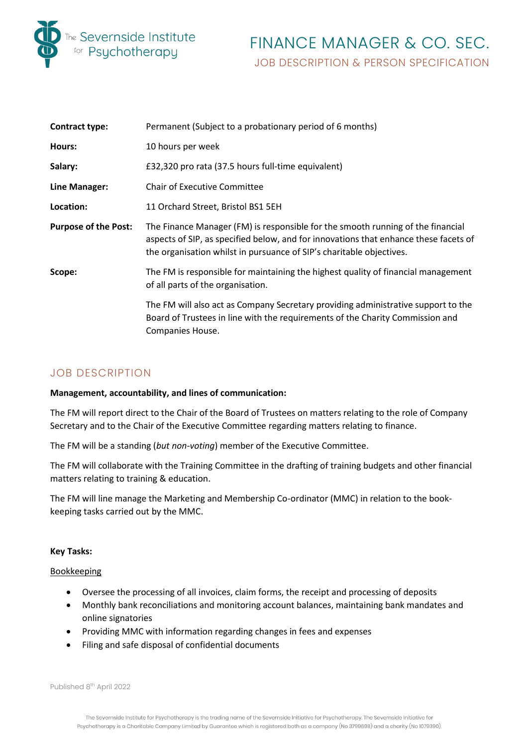

# FINANCE MANAGER & CO. SEC. JOB DESCRIPTION & PERSON SPECIFICATION

| <b>Contract type:</b>       | Permanent (Subject to a probationary period of 6 months)                                                                                                                                                                                        |
|-----------------------------|-------------------------------------------------------------------------------------------------------------------------------------------------------------------------------------------------------------------------------------------------|
| Hours:                      | 10 hours per week                                                                                                                                                                                                                               |
| Salary:                     | £32,320 pro rata (37.5 hours full-time equivalent)                                                                                                                                                                                              |
| Line Manager:               | <b>Chair of Executive Committee</b>                                                                                                                                                                                                             |
| Location:                   | 11 Orchard Street, Bristol BS1 5EH                                                                                                                                                                                                              |
| <b>Purpose of the Post:</b> | The Finance Manager (FM) is responsible for the smooth running of the financial<br>aspects of SIP, as specified below, and for innovations that enhance these facets of<br>the organisation whilst in pursuance of SIP's charitable objectives. |
| Scope:                      | The FM is responsible for maintaining the highest quality of financial management<br>of all parts of the organisation.                                                                                                                          |
|                             | The FM will also act as Company Secretary providing administrative support to the<br>Board of Trustees in line with the requirements of the Charity Commission and<br>Companies House.                                                          |

# JOB DESCRIPTION

# **Management, accountability, and lines of communication:**

The FM will report direct to the Chair of the Board of Trustees on matters relating to the role of Company Secretary and to the Chair of the Executive Committee regarding matters relating to finance.

The FM will be a standing (*but non-voting*) member of the Executive Committee.

The FM will collaborate with the Training Committee in the drafting of training budgets and other financial matters relating to training & education.

The FM will line manage the Marketing and Membership Co-ordinator (MMC) in relation to the bookkeeping tasks carried out by the MMC.

# **Key Tasks:**

# Bookkeeping

- Oversee the processing of all invoices, claim forms, the receipt and processing of deposits
- Monthly bank reconciliations and monitoring account balances, maintaining bank mandates and online signatories
- Providing MMC with information regarding changes in fees and expenses
- Filing and safe disposal of confidential documents

Published 8<sup>th</sup> April 2022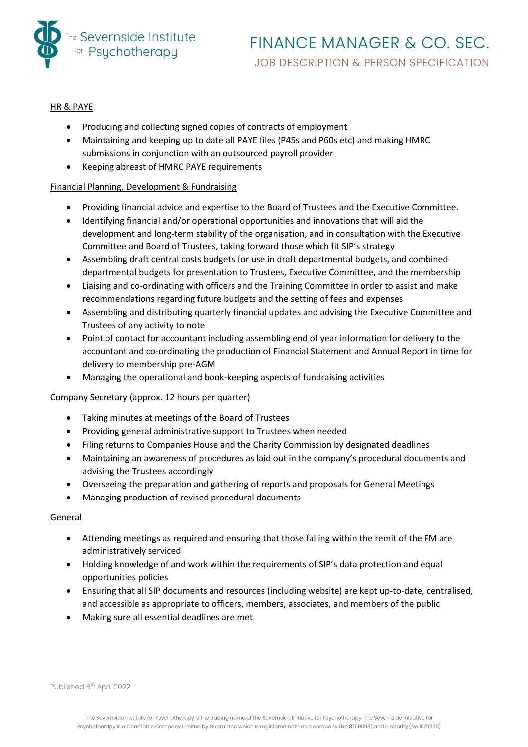

# HR & PAYE

- Producing and collecting signed copies of contracts of employment
- Maintaining and keeping up to date all PAYE files (P45s and P60s etc) and making HMRC submissions in conjunction with an outsourced payroll provider
- Keeping abreast of HMRC PAYE requirements

# Financial Planning, Development & Fundraising

- Providing financial advice and expertise to the Board of Trustees and the Executive Committee.
- Identifying financial and/or operational opportunities and innovations that will aid the development and long-term stability of the organisation, and in consultation with the Executive Committee and Board of Trustees, taking forward those which fit SIP's strategy
- Assembling draft central costs budgets for use in draft departmental budgets, and combined departmental budgets for presentation to Trustees, Executive Committee, and the membership
- Liaising and co-ordinating with officers and the Training Committee in order to assist and make recommendations regarding future budgets and the setting of fees and expenses
- Assembling and distributing quarterly financial updates and advising the Executive Committee and Trustees of any activity to note
- Point of contact for accountant including assembling end of year information for delivery to the accountant and co-ordinating the production of Financial Statement and Annual Report in time for delivery to membership pre-AGM
- Managing the operational and book-keeping aspects of fundraising activities

# Company Secretary (approx. 12 hours per quarter)

- Taking minutes at meetings of the Board of Trustees
- Providing general administrative support to Trustees when needed
- Filing returns to Companies House and the Charity Commission by designated deadlines
- Maintaining an awareness of procedures as laid out in the company's procedural documents and advising the Trustees accordingly
- Overseeing the preparation and gathering of reports and proposals for General Meetings
- Managing production of revised procedural documents

# General

- Attending meetings as required and ensuring that those falling within the remit of the FM are administratively serviced
- Holding knowledge of and work within the requirements of SIP's data protection and equal opportunities policies
- Ensuring that all SIP documents and resources (including website) are kept up-to-date, centralised, and accessible as appropriate to officers, members, associates, and members of the public
- Making sure all essential deadlines are met